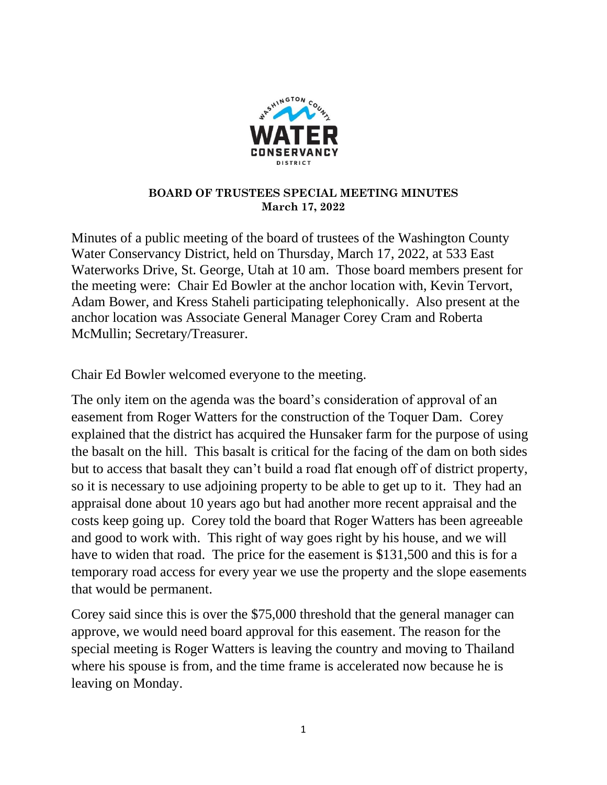

## **BOARD OF TRUSTEES SPECIAL MEETING MINUTES March 17, 2022**

Minutes of a public meeting of the board of trustees of the Washington County Water Conservancy District, held on Thursday, March 17, 2022, at 533 East Waterworks Drive, St. George, Utah at 10 am. Those board members present for the meeting were: Chair Ed Bowler at the anchor location with, Kevin Tervort, Adam Bower, and Kress Staheli participating telephonically. Also present at the anchor location was Associate General Manager Corey Cram and Roberta McMullin; Secretary/Treasurer.

Chair Ed Bowler welcomed everyone to the meeting.

The only item on the agenda was the board's consideration of approval of an easement from Roger Watters for the construction of the Toquer Dam. Corey explained that the district has acquired the Hunsaker farm for the purpose of using the basalt on the hill. This basalt is critical for the facing of the dam on both sides but to access that basalt they can't build a road flat enough off of district property, so it is necessary to use adjoining property to be able to get up to it. They had an appraisal done about 10 years ago but had another more recent appraisal and the costs keep going up. Corey told the board that Roger Watters has been agreeable and good to work with. This right of way goes right by his house, and we will have to widen that road. The price for the easement is \$131,500 and this is for a temporary road access for every year we use the property and the slope easements that would be permanent.

Corey said since this is over the \$75,000 threshold that the general manager can approve, we would need board approval for this easement. The reason for the special meeting is Roger Watters is leaving the country and moving to Thailand where his spouse is from, and the time frame is accelerated now because he is leaving on Monday.